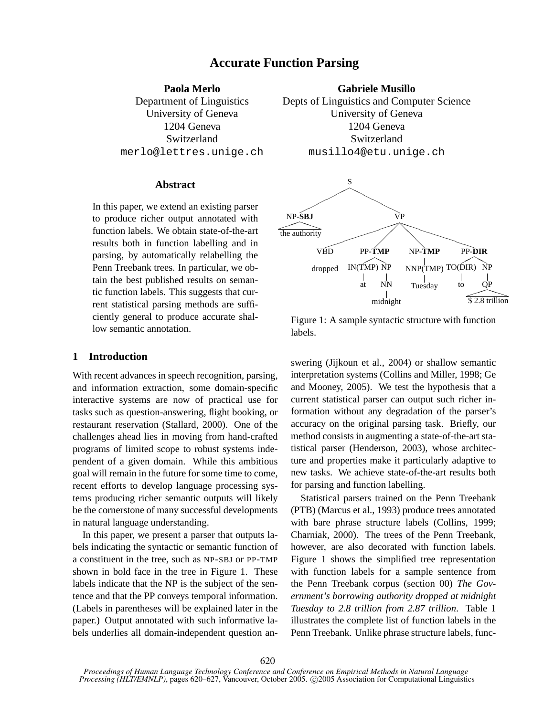# **Accurate Function Parsing**

**Paola Merlo** Department of Linguistics University of Geneva 1204 Geneva **Switzerland** merlo@lettres.unige.ch

### **Abstract**

In this paper, we extend an existing parser to produce richer output annotated with function labels. We obtain state-of-the-art results both in function labelling and in parsing, by automatically relabelling the Penn Treebank trees. In particular, we obtain the best published results on semantic function labels. This suggests that current statistical parsing methods are sufficiently general to produce accurate shallow semantic annotation.

# **1 Introduction**

With recent advances in speech recognition, parsing, and information extraction, some domain-specific interactive systems are now of practical use for tasks such as question-answering, flight booking, or restaurant reservation (Stallard, 2000). One of the challenges ahead lies in moving from hand-crafted programs of limited scope to robust systems independent of a given domain. While this ambitious goal will remain in the future for some time to come, recent efforts to develop language processing systems producing richer semantic outputs will likely be the cornerstone of many successful developments in natural language understanding.

In this paper, we present a parser that outputs labels indicating the syntactic or semantic function of a constituent in the tree, such as NP-SBJ or PP-TMP shown in bold face in the tree in Figure 1. These labels indicate that the NP is the subject of the sentence and that the PP conveys temporal information. (Labels in parentheses will be explained later in the paper.) Output annotated with such informative labels underlies all domain-independent question an-

**Gabriele Musillo** Depts of Linguistics and Computer Science University of Geneva 1204 Geneva **Switzerland** musillo4@etu.unige.ch



Figure 1: A sample syntactic structure with function labels.

swering (Jijkoun et al., 2004) or shallow semantic interpretation systems (Collins and Miller, 1998; Ge and Mooney, 2005). We test the hypothesis that a current statistical parser can output such richer information without any degradation of the parser's accuracy on the original parsing task. Briefly, our method consists in augmenting a state-of-the-art statistical parser (Henderson, 2003), whose architecture and properties make it particularly adaptive to new tasks. We achieve state-of-the-art results both for parsing and function labelling.

Statistical parsers trained on the Penn Treebank (PTB) (Marcus et al., 1993) produce trees annotated with bare phrase structure labels (Collins, 1999; Charniak, 2000). The trees of the Penn Treebank, however, are also decorated with function labels. Figure 1 shows the simplified tree representation with function labels for a sample sentence from the Penn Treebank corpus (section 00) *The Government's borrowing authority dropped at midnight Tuesday to 2.8 trillion from 2.87 trillion*. Table 1 illustrates the complete list of function labels in the Penn Treebank. Unlike phrase structure labels, func-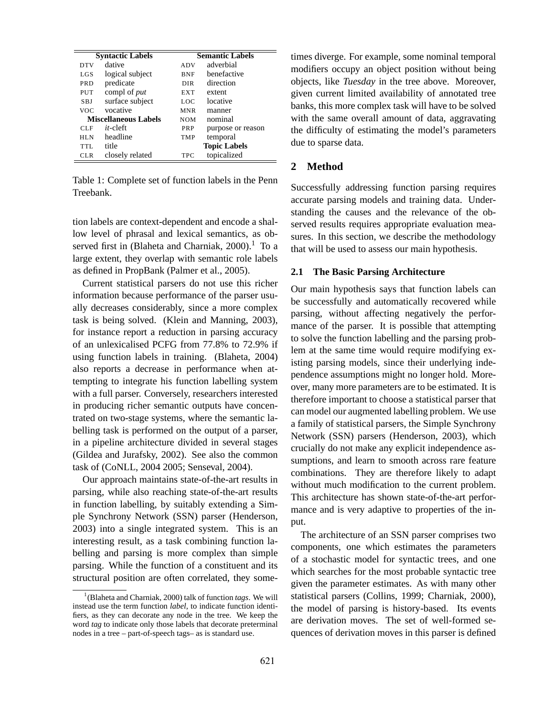|                 | <b>Syntactic Labels</b>     | <b>Semantic Labels</b> |                     |  |  |
|-----------------|-----------------------------|------------------------|---------------------|--|--|
| <b>DTV</b>      | dative                      | <b>ADV</b>             | adverbial           |  |  |
| LGS             | logical subject             | <b>BNF</b>             | benefactive         |  |  |
| <b>PRD</b>      | predicate                   | DIR.                   | direction           |  |  |
| PUT             | compl of <i>put</i>         | <b>EXT</b>             | extent              |  |  |
| <b>SBJ</b>      | surface subject             | LOC.                   | locative            |  |  |
| <b>VOC</b>      | vocative                    | <b>MNR</b>             | manner              |  |  |
|                 | <b>Miscellaneous Labels</b> | <b>NOM</b>             | nominal             |  |  |
| <b>CLF</b>      | $it$ -cleft                 | <b>PRP</b>             | purpose or reason   |  |  |
| HLN             | headline                    | <b>TMP</b>             | temporal            |  |  |
| TTL.            | title                       |                        | <b>Topic Labels</b> |  |  |
| CL <sub>R</sub> | closely related             | <b>TPC</b>             | topicalized         |  |  |

Table 1: Complete set of function labels in the Penn Treebank.

tion labels are context-dependent and encode a shallow level of phrasal and lexical semantics, as observed first in (Blaheta and Charniak,  $2000$ ).<sup>1</sup> To a large extent, they overlap with semantic role labels as defined in PropBank (Palmer et al., 2005).

Current statistical parsers do not use this richer information because performance of the parser usually decreases considerably, since a more complex task is being solved. (Klein and Manning, 2003), for instance report a reduction in parsing accuracy of an unlexicalised PCFG from 77.8% to 72.9% if using function labels in training. (Blaheta, 2004) also reports a decrease in performance when attempting to integrate his function labelling system with a full parser. Conversely, researchers interested in producing richer semantic outputs have concentrated on two-stage systems, where the semantic labelling task is performed on the output of a parser, in a pipeline architecture divided in several stages (Gildea and Jurafsky, 2002). See also the common task of (CoNLL, 2004 2005; Senseval, 2004).

Our approach maintains state-of-the-art results in parsing, while also reaching state-of-the-art results in function labelling, by suitably extending a Simple Synchrony Network (SSN) parser (Henderson, 2003) into a single integrated system. This is an interesting result, as a task combining function labelling and parsing is more complex than simple parsing. While the function of a constituent and its structural position are often correlated, they sometimes diverge. For example, some nominal temporal modifiers occupy an object position without being objects, like *Tuesday* in the tree above. Moreover, given current limited availability of annotated tree banks, this more complex task will have to be solved with the same overall amount of data, aggravating the difficulty of estimating the model's parameters due to sparse data.

# **2 Method**

Successfully addressing function parsing requires accurate parsing models and training data. Understanding the causes and the relevance of the observed results requires appropriate evaluation measures. In this section, we describe the methodology that will be used to assess our main hypothesis.

#### **2.1 The Basic Parsing Architecture**

Our main hypothesis says that function labels can be successfully and automatically recovered while parsing, without affecting negatively the performance of the parser. It is possible that attempting to solve the function labelling and the parsing problem at the same time would require modifying existing parsing models, since their underlying independence assumptions might no longer hold. Moreover, many more parameters are to be estimated. It is therefore important to choose a statistical parser that can model our augmented labelling problem. We use a family of statistical parsers, the Simple Synchrony Network (SSN) parsers (Henderson, 2003), which crucially do not make any explicit independence assumptions, and learn to smooth across rare feature combinations. They are therefore likely to adapt without much modification to the current problem. This architecture has shown state-of-the-art performance and is very adaptive to properties of the input.

The architecture of an SSN parser comprises two components, one which estimates the parameters of a stochastic model for syntactic trees, and one which searches for the most probable syntactic tree given the parameter estimates. As with many other statistical parsers (Collins, 1999; Charniak, 2000), the model of parsing is history-based. Its events are derivation moves. The set of well-formed sequences of derivation moves in this parser is defined

<sup>1</sup> (Blaheta and Charniak, 2000) talk of function *tags*. We will instead use the term function *label*, to indicate function identifiers, as they can decorate any node in the tree. We keep the word *tag* to indicate only those labels that decorate preterminal nodes in a tree – part-of-speech tags– as is standard use.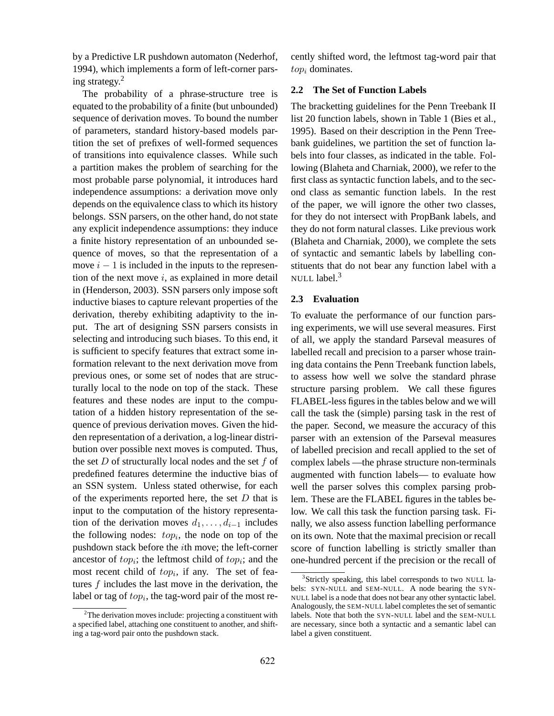by a Predictive LR pushdown automaton (Nederhof, 1994), which implements a form of left-corner parsing strategy.<sup>2</sup>

The probability of a phrase-structure tree is equated to the probability of a finite (but unbounded) sequence of derivation moves. To bound the number of parameters, standard history-based models partition the set of prefixes of well-formed sequences of transitions into equivalence classes. While such a partition makes the problem of searching for the most probable parse polynomial, it introduces hard independence assumptions: a derivation move only depends on the equivalence class to which its history belongs. SSN parsers, on the other hand, do not state any explicit independence assumptions: they induce a finite history representation of an unbounded sequence of moves, so that the representation of a move  $i - 1$  is included in the inputs to the represention of the next move  $i$ , as explained in more detail in (Henderson, 2003). SSN parsers only impose soft inductive biases to capture relevant properties of the derivation, thereby exhibiting adaptivity to the input. The art of designing SSN parsers consists in selecting and introducing such biases. To this end, it is sufficient to specify features that extract some information relevant to the next derivation move from previous ones, or some set of nodes that are structurally local to the node on top of the stack. These features and these nodes are input to the computation of a hidden history representation of the sequence of previous derivation moves. Given the hidden representation of a derivation, a log-linear distribution over possible next moves is computed. Thus, the set  $D$  of structurally local nodes and the set  $f$  of predefined features determine the inductive bias of an SSN system. Unless stated otherwise, for each of the experiments reported here, the set  $D$  that is input to the computation of the history representation of the derivation moves  $d_1, \ldots, d_{i-1}$  includes the following nodes:  $top_i$ , the node on top of the pushdown stack before the ith move; the left-corner ancestor of  $top_i$ ; the leftmost child of  $top_i$ ; and the most recent child of  $top_i$ , if any. The set of features  $f$  includes the last move in the derivation, the label or tag of  $top_i$ , the tag-word pair of the most re-

 $2$ The derivation moves include: projecting a constituent with a specified label, attaching one constituent to another, and shifting a tag-word pair onto the pushdown stack.

cently shifted word, the leftmost tag-word pair that  $top_i$  dominates.

#### **2.2 The Set of Function Labels**

The bracketting guidelines for the Penn Treebank II list 20 function labels, shown in Table 1 (Bies et al., 1995). Based on their description in the Penn Treebank guidelines, we partition the set of function labels into four classes, as indicated in the table. Following (Blaheta and Charniak, 2000), we refer to the first class as syntactic function labels, and to the second class as semantic function labels. In the rest of the paper, we will ignore the other two classes, for they do not intersect with PropBank labels, and they do not form natural classes. Like previous work (Blaheta and Charniak, 2000), we complete the sets of syntactic and semantic labels by labelling constituents that do not bear any function label with a NULL label.<sup>3</sup>

#### **2.3 Evaluation**

To evaluate the performance of our function parsing experiments, we will use several measures. First of all, we apply the standard Parseval measures of labelled recall and precision to a parser whose training data contains the Penn Treebank function labels, to assess how well we solve the standard phrase structure parsing problem. We call these figures FLABEL-less figures in the tables below and we will call the task the (simple) parsing task in the rest of the paper. Second, we measure the accuracy of this parser with an extension of the Parseval measures of labelled precision and recall applied to the set of complex labels —the phrase structure non-terminals augmented with function labels— to evaluate how well the parser solves this complex parsing problem. These are the FLABEL figures in the tables below. We call this task the function parsing task. Finally, we also assess function labelling performance on its own. Note that the maximal precision or recall score of function labelling is strictly smaller than one-hundred percent if the precision or the recall of

<sup>&</sup>lt;sup>3</sup>Strictly speaking, this label corresponds to two NULL labels: SYN-NULL and SEM-NULL. A node bearing the SYN-NULL label is a node that does not bear any other syntactic label. Analogously, the SEM-NULL label completes the set of semantic labels. Note that both the SYN-NULL label and the SEM-NULL are necessary, since both a syntactic and a semantic label can label a given constituent.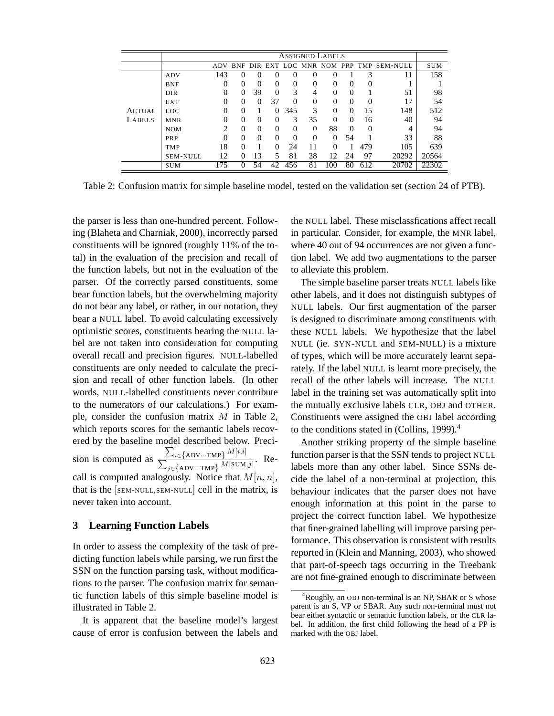|               | <b>ASSIGNED LABELS</b> |                |          |          |          |          |          |          |          |          |                                          |            |
|---------------|------------------------|----------------|----------|----------|----------|----------|----------|----------|----------|----------|------------------------------------------|------------|
|               |                        | <b>ADV</b>     |          |          |          |          |          |          |          |          | BNF DIR EXT LOC MNR NOM PRP TMP SEM-NULL | <b>SUM</b> |
|               | ADV                    | 143            | 0        | 0        | 0        | 0        |          |          |          | 3        | 11                                       | 158        |
|               | <b>BNF</b>             | $\Omega$       | $\Omega$ | $\Omega$ | $\Omega$ | $\Omega$ | $\theta$ | $\Omega$ | $\Omega$ | $\theta$ |                                          |            |
|               | <b>DIR</b>             | 0              | $\Omega$ | 39       | $\Omega$ | 3        | 4        | 0        | $\Omega$ |          | 51                                       | 98         |
|               | <b>EXT</b>             | $\Omega$       | $\Omega$ | $\Omega$ | 37       | $\Omega$ | $\theta$ | 0        | $\Omega$ | 0        | 17                                       | 54         |
| <b>ACTUAL</b> | LOC.                   | $\Omega$       | $\Omega$ |          | $\Omega$ | 345      | 3        | $\theta$ | $\Omega$ | 15       | 148                                      | 512        |
| LABELS        | <b>MNR</b>             | $\Omega$       | $\Omega$ | $\Omega$ | 0        | 3        | 35       | $\Omega$ | $\Omega$ | 16       | 40                                       | 94         |
|               | <b>NOM</b>             | $\overline{2}$ | $\Omega$ | $\Omega$ | $\Omega$ | $\Omega$ | $\Omega$ | 88       | $\Omega$ | 0        | 4                                        | 94         |
|               | PRP                    | $\Omega$       | $\theta$ | $\Omega$ | 0        | $\Omega$ | $\theta$ | $\Omega$ | 54       |          | 33                                       | 88         |
|               | <b>TMP</b>             | 18             | $\Omega$ |          | 0        | 24       | 11       | $\Omega$ |          | 479      | 105                                      | 639        |
|               | <b>SEM-NULL</b>        | 12             | $\Omega$ | 13       | 5        | 81       | 28       | 12       | 24       | 97       | 20292                                    | 20564      |
|               | <b>SUM</b>             | 175            | $\Omega$ | 54       | 42       | 456      | 81       | 100      | 80       | 612      | 20702                                    | 22302      |

Table 2: Confusion matrix for simple baseline model, tested on the validation set (section 24 of PTB).

the parser is less than one-hundred percent. Following (Blaheta and Charniak, 2000), incorrectly parsed constituents will be ignored (roughly 11% of the total) in the evaluation of the precision and recall of the function labels, but not in the evaluation of the parser. Of the correctly parsed constituents, some bear function labels, but the overwhelming majority do not bear any label, or rather, in our notation, they bear a NULL label. To avoid calculating excessively optimistic scores, constituents bearing the NULL label are not taken into consideration for computing overall recall and precision figures. NULL-labelled constituents are only needed to calculate the precision and recall of other function labels. (In other words, NULL-labelled constituents never contribute to the numerators of our calculations.) For example, consider the confusion matrix  $M$  in Table 2, which reports scores for the semantic labels recovered by the baseline model described below. Precision is computed as  $\sum_{i \in \{\text{ADV} \cdots \text{TMP}\}} M[i, i]$  $\frac{\sum_{i\in\text{ADV}\dots\text{ImP}} W}{\sum_{j\in\text{ADV}\dots\text{ImP}} M[\text{SUM},j]}.$  Recall is computed analogously. Notice that  $M[n, n]$ , that is the [SEM-NULL,SEM-NULL] cell in the matrix, is never taken into account.

#### **3 Learning Function Labels**

In order to assess the complexity of the task of predicting function labels while parsing, we run first the SSN on the function parsing task, without modifications to the parser. The confusion matrix for semantic function labels of this simple baseline model is illustrated in Table 2.

It is apparent that the baseline model's largest cause of error is confusion between the labels and the NULL label. These misclassfications affect recall in particular. Consider, for example, the MNR label, where 40 out of 94 occurrences are not given a function label. We add two augmentations to the parser to alleviate this problem.

The simple baseline parser treats NULL labels like other labels, and it does not distinguish subtypes of NULL labels. Our first augmentation of the parser is designed to discriminate among constituents with these NULL labels. We hypothesize that the label NULL (ie. SYN-NULL and SEM-NULL) is a mixture of types, which will be more accurately learnt separately. If the label NULL is learnt more precisely, the recall of the other labels will increase. The NULL label in the training set was automatically split into the mutually exclusive labels CLR, OBJ and OTHER. Constituents were assigned the OBJ label according to the conditions stated in (Collins, 1999). $<sup>4</sup>$ </sup>

Another striking property of the simple baseline function parser is that the SSN tends to project NULL labels more than any other label. Since SSNs decide the label of a non-terminal at projection, this behaviour indicates that the parser does not have enough information at this point in the parse to project the correct function label. We hypothesize that finer-grained labelling will improve parsing performance. This observation is consistent with results reported in (Klein and Manning, 2003), who showed that part-of-speech tags occurring in the Treebank are not fine-grained enough to discriminate between

<sup>&</sup>lt;sup>4</sup>Roughly, an OBJ non-terminal is an NP, SBAR or S whose parent is an S, VP or SBAR. Any such non-terminal must not bear either syntactic or semantic function labels, or the CLR label. In addition, the first child following the head of a PP is marked with the OBJ label.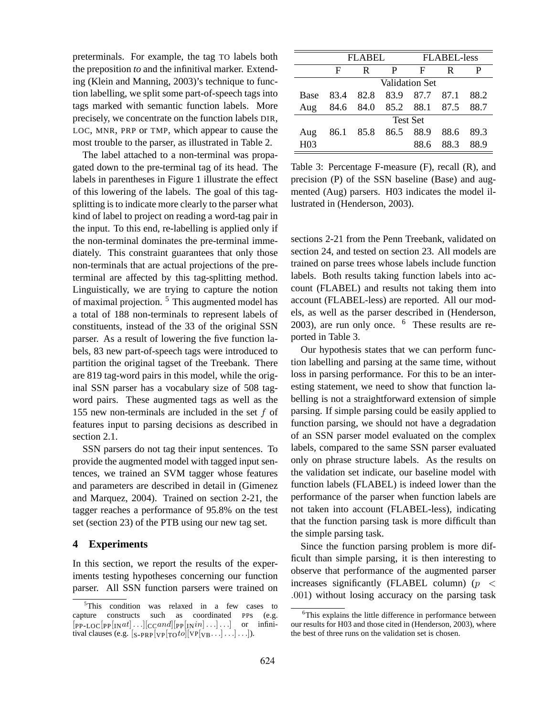preterminals. For example, the tag TO labels both the preposition *to* and the infinitival marker. Extending (Klein and Manning, 2003)'s technique to function labelling, we split some part-of-speech tags into tags marked with semantic function labels. More precisely, we concentrate on the function labels DIR, LOC, MNR, PRP or TMP, which appear to cause the most trouble to the parser, as illustrated in Table 2.

The label attached to a non-terminal was propagated down to the pre-terminal tag of its head. The labels in parentheses in Figure 1 illustrate the effect of this lowering of the labels. The goal of this tagsplitting is to indicate more clearly to the parser what kind of label to project on reading a word-tag pair in the input. To this end, re-labelling is applied only if the non-terminal dominates the pre-terminal immediately. This constraint guarantees that only those non-terminals that are actual projections of the preterminal are affected by this tag-splitting method. Linguistically, we are trying to capture the notion of maximal projection. <sup>5</sup> This augmented model has a total of 188 non-terminals to represent labels of constituents, instead of the 33 of the original SSN parser. As a result of lowering the five function labels, 83 new part-of-speech tags were introduced to partition the original tagset of the Treebank. There are 819 tag-word pairs in this model, while the original SSN parser has a vocabulary size of 508 tagword pairs. These augmented tags as well as the 155 new non-terminals are included in the set  $f$  of features input to parsing decisions as described in section 2.1.

SSN parsers do not tag their input sentences. To provide the augmented model with tagged input sentences, we trained an SVM tagger whose features and parameters are described in detail in (Gimenez and Marquez, 2004). Trained on section 2-21, the tagger reaches a performance of 95.8% on the test set (section 23) of the PTB using our new tag set.

# **4 Experiments**

In this section, we report the results of the experiments testing hypotheses concerning our function parser. All SSN function parsers were trained on

|                 |                 | FLAREL.                  |   | FLABEL-less |      |      |  |  |  |
|-----------------|-----------------|--------------------------|---|-------------|------|------|--|--|--|
|                 | F               | R                        | P | F           | R    |      |  |  |  |
|                 | Validation Set  |                          |   |             |      |      |  |  |  |
| <b>Base</b>     |                 | 83.4 82.8 83.9           |   | 87.7 87.1   |      | 88.2 |  |  |  |
| Aug             |                 | 84.6 84.0 85.2 88.1 87.5 |   |             |      | 88.7 |  |  |  |
|                 | <b>Test Set</b> |                          |   |             |      |      |  |  |  |
| Aug             |                 | 86.1 85.8 86.5 88.9      |   |             | 88.6 | 89.3 |  |  |  |
| H <sub>03</sub> |                 |                          |   | 88 6        | 88.3 | 88.9 |  |  |  |

Table 3: Percentage F-measure (F), recall (R), and precision (P) of the SSN baseline (Base) and augmented (Aug) parsers. H03 indicates the model illustrated in (Henderson, 2003).

sections 2-21 from the Penn Treebank, validated on section 24, and tested on section 23. All models are trained on parse trees whose labels include function labels. Both results taking function labels into account (FLABEL) and results not taking them into account (FLABEL-less) are reported. All our models, as well as the parser described in (Henderson, 2003), are run only once.  $6$  These results are reported in Table 3.

Our hypothesis states that we can perform function labelling and parsing at the same time, without loss in parsing performance. For this to be an interesting statement, we need to show that function labelling is not a straightforward extension of simple parsing. If simple parsing could be easily applied to function parsing, we should not have a degradation of an SSN parser model evaluated on the complex labels, compared to the same SSN parser evaluated only on phrase structure labels. As the results on the validation set indicate, our baseline model with function labels (FLABEL) is indeed lower than the performance of the parser when function labels are not taken into account (FLABEL-less), indicating that the function parsing task is more difficult than the simple parsing task.

Since the function parsing problem is more difficult than simple parsing, it is then interesting to observe that performance of the augmented parser increases significantly (FLABEL column) ( $p \leq$ .001) without losing accuracy on the parsing task

<sup>&</sup>lt;sup>5</sup>This condition was relaxed in a few cases to capture constructs such as coordinated PPs (e.g.  $[PP-LOC[PP[INat]...][CCand][PP[INin]...]$  or infinitival clauses (e.g.  $\left[\frac{\text{S-PP}}{\text{VP}[\text{TO}^{to]}]}[\text{VP}[\text{VB} \cdots] \cdots] \cdots \right]$ ).

<sup>6</sup>This explains the little difference in performance between our results for H03 and those cited in (Henderson, 2003), where the best of three runs on the validation set is chosen.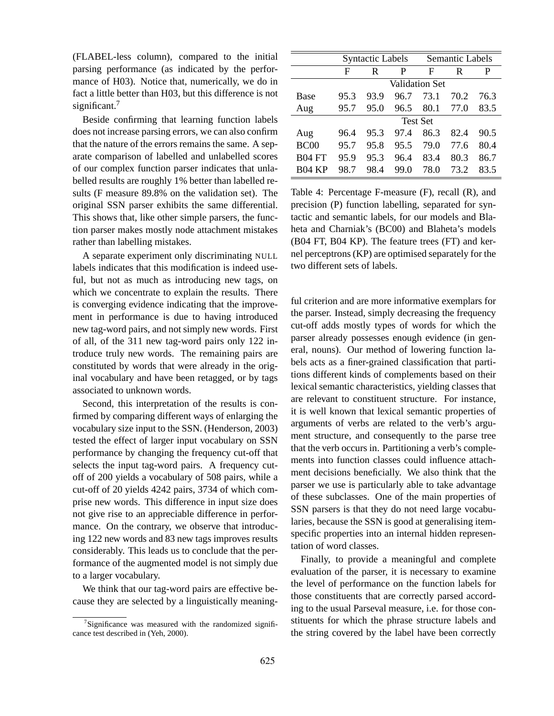(FLABEL-less column), compared to the initial parsing performance (as indicated by the performance of H03). Notice that, numerically, we do in fact a little better than H03, but this difference is not significant.<sup>7</sup>

Beside confirming that learning function labels does not increase parsing errors, we can also confirm that the nature of the errors remains the same. A separate comparison of labelled and unlabelled scores of our complex function parser indicates that unlabelled results are roughly 1% better than labelled results (F measure 89.8% on the validation set). The original SSN parser exhibits the same differential. This shows that, like other simple parsers, the function parser makes mostly node attachment mistakes rather than labelling mistakes.

A separate experiment only discriminating NULL labels indicates that this modification is indeed useful, but not as much as introducing new tags, on which we concentrate to explain the results. There is converging evidence indicating that the improvement in performance is due to having introduced new tag-word pairs, and not simply new words. First of all, of the 311 new tag-word pairs only 122 introduce truly new words. The remaining pairs are constituted by words that were already in the original vocabulary and have been retagged, or by tags associated to unknown words.

Second, this interpretation of the results is confirmed by comparing different ways of enlarging the vocabulary size input to the SSN. (Henderson, 2003) tested the effect of larger input vocabulary on SSN performance by changing the frequency cut-off that selects the input tag-word pairs. A frequency cutoff of 200 yields a vocabulary of 508 pairs, while a cut-off of 20 yields 4242 pairs, 3734 of which comprise new words. This difference in input size does not give rise to an appreciable difference in performance. On the contrary, we observe that introducing 122 new words and 83 new tags improves results considerably. This leads us to conclude that the performance of the augmented model is not simply due to a larger vocabulary.

We think that our tag-word pairs are effective because they are selected by a linguistically meaning-

|                  | <b>Syntactic Labels</b> |                 |      | Semantic Labels       |      |      |  |
|------------------|-------------------------|-----------------|------|-----------------------|------|------|--|
|                  | F                       | R               | P    | F                     | R    | P    |  |
|                  |                         |                 |      | <b>Validation Set</b> |      |      |  |
| Base             | 95.3                    | 93.9            | 96.7 | 73.1                  | 70.2 | 76.3 |  |
| Aug              | 95.7                    | 95.0            | 96.5 | 80.1                  | 77.0 | 83.5 |  |
|                  |                         | <b>Test Set</b> |      |                       |      |      |  |
| Aug              | 96.4                    | 95.3            | 974  | 86.3                  | 82.4 | 90.5 |  |
| BC <sub>00</sub> | 95.7                    | 95.8            | 95.5 | 79.0                  | 77.6 | 80.4 |  |
| <b>B04 FT</b>    | 95.9                    | 95.3            | 96.4 | 83.4                  | 80.3 | 86.7 |  |
| <b>B04 KP</b>    | 98.7                    | 98.4            | 99.0 | 78.0                  | 73 2 | 83.5 |  |

Table 4: Percentage F-measure (F), recall (R), and precision (P) function labelling, separated for syntactic and semantic labels, for our models and Blaheta and Charniak's (BC00) and Blaheta's models (B04 FT, B04 KP). The feature trees (FT) and kernel perceptrons (KP) are optimised separately for the two different sets of labels.

ful criterion and are more informative exemplars for the parser. Instead, simply decreasing the frequency cut-off adds mostly types of words for which the parser already possesses enough evidence (in general, nouns). Our method of lowering function labels acts as a finer-grained classification that partitions different kinds of complements based on their lexical semantic characteristics, yielding classes that are relevant to constituent structure. For instance, it is well known that lexical semantic properties of arguments of verbs are related to the verb's argument structure, and consequently to the parse tree that the verb occurs in. Partitioning a verb's complements into function classes could influence attachment decisions beneficially. We also think that the parser we use is particularly able to take advantage of these subclasses. One of the main properties of SSN parsers is that they do not need large vocabularies, because the SSN is good at generalising itemspecific properties into an internal hidden representation of word classes.

Finally, to provide a meaningful and complete evaluation of the parser, it is necessary to examine the level of performance on the function labels for those constituents that are correctly parsed according to the usual Parseval measure, i.e. for those constituents for which the phrase structure labels and the string covered by the label have been correctly

 $\sigma$ <sup>7</sup>Significance was measured with the randomized significance test described in (Yeh, 2000).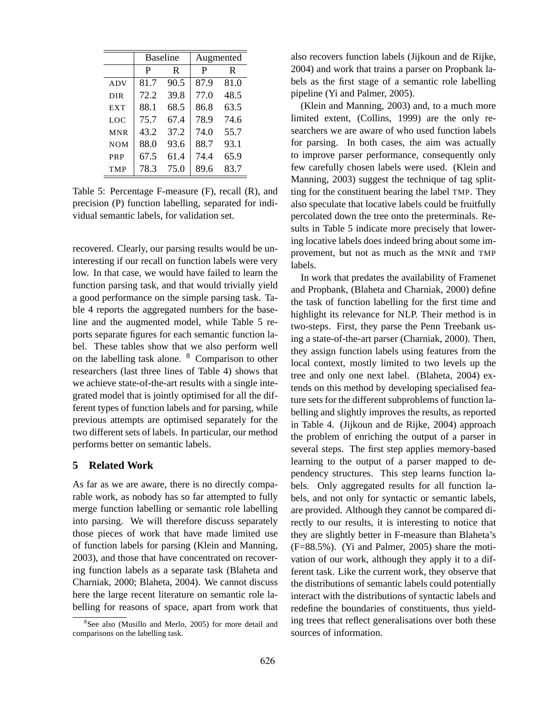|            | <b>Baseline</b> |      | Augmented |      |  |
|------------|-----------------|------|-----------|------|--|
|            | P               | R    | P         | R    |  |
| <b>ADV</b> | 81.7            | 90.5 | 87.9      | 81.0 |  |
| <b>DIR</b> | 72.2            | 39.8 | 77.0      | 48.5 |  |
| <b>EXT</b> | 88.1            | 68.5 | 86.8      | 63.5 |  |
| <b>LOC</b> | 75.7            | 67.4 | 78.9      | 74.6 |  |
| <b>MNR</b> | 43.2            | 37.2 | 74.0      | 55.7 |  |
| <b>NOM</b> | 88.0            | 93.6 | 88.7      | 93.1 |  |
| PRP        | 67.5            | 61.4 | 74.4      | 65.9 |  |
| <b>TMP</b> | 78.3            | 75.0 | 89.6      | 83.7 |  |

Table 5: Percentage F-measure (F), recall (R), and precision (P) function labelling, separated for individual semantic labels, for validation set.

recovered. Clearly, our parsing results would be uninteresting if our recall on function labels were very low. In that case, we would have failed to learn the function parsing task, and that would trivially yield a good performance on the simple parsing task. Table 4 reports the aggregated numbers for the baseline and the augmented model, while Table 5 reports separate figures for each semantic function label. These tables show that we also perform well on the labelling task alone. <sup>8</sup> Comparison to other researchers (last three lines of Table 4) shows that we achieve state-of-the-art results with a single integrated model that is jointly optimised for all the different types of function labels and for parsing, while previous attempts are optimised separately for the two different sets of labels. In particular, our method performs better on semantic labels.

### **5 Related Work**

As far as we are aware, there is no directly comparable work, as nobody has so far attempted to fully merge function labelling or semantic role labelling into parsing. We will therefore discuss separately those pieces of work that have made limited use of function labels for parsing (Klein and Manning, 2003), and those that have concentrated on recovering function labels as a separate task (Blaheta and Charniak, 2000; Blaheta, 2004). We cannot discuss here the large recent literature on semantic role labelling for reasons of space, apart from work that also recovers function labels (Jijkoun and de Rijke, 2004) and work that trains a parser on Propbank labels as the first stage of a semantic role labelling pipeline (Yi and Palmer, 2005).

(Klein and Manning, 2003) and, to a much more limited extent, (Collins, 1999) are the only researchers we are aware of who used function labels for parsing. In both cases, the aim was actually to improve parser performance, consequently only few carefully chosen labels were used. (Klein and Manning, 2003) suggest the technique of tag splitting for the constituent bearing the label TMP. They also speculate that locative labels could be fruitfully percolated down the tree onto the preterminals. Results in Table 5 indicate more precisely that lowering locative labels does indeed bring about some improvement, but not as much as the MNR and TMP labels.

In work that predates the availability of Framenet and Propbank, (Blaheta and Charniak, 2000) define the task of function labelling for the first time and highlight its relevance for NLP. Their method is in two-steps. First, they parse the Penn Treebank using a state-of-the-art parser (Charniak, 2000). Then, they assign function labels using features from the local context, mostly limited to two levels up the tree and only one next label. (Blaheta, 2004) extends on this method by developing specialised feature sets for the different subproblems of function labelling and slightly improves the results, as reported in Table 4. (Jijkoun and de Rijke, 2004) approach the problem of enriching the output of a parser in several steps. The first step applies memory-based learning to the output of a parser mapped to dependency structures. This step learns function labels. Only aggregated results for all function labels, and not only for syntactic or semantic labels, are provided. Although they cannot be compared directly to our results, it is interesting to notice that they are slightly better in F-measure than Blaheta's (F=88.5%). (Yi and Palmer, 2005) share the motivation of our work, although they apply it to a different task. Like the current work, they observe that the distributions of semantic labels could potentially interact with the distributions of syntactic labels and redefine the boundaries of constituents, thus yielding trees that reflect generalisations over both these sources of information.

<sup>&</sup>lt;sup>8</sup>See also (Musillo and Merlo, 2005) for more detail and comparisons on the labelling task.